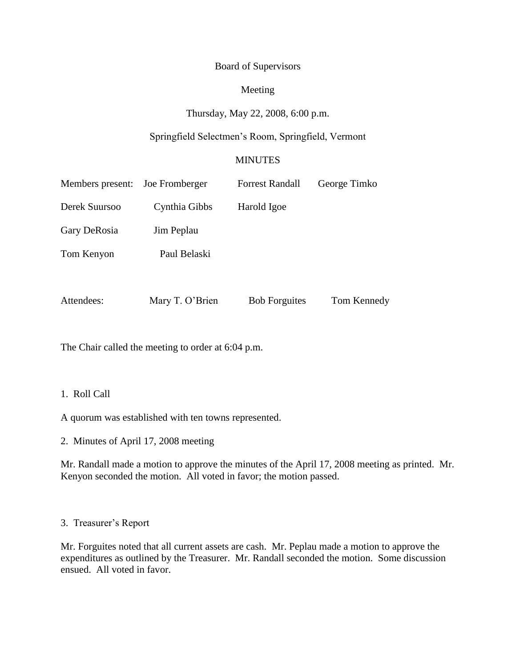## Board of Supervisors

# Meeting

# Thursday, May 22, 2008, 6:00 p.m.

# Springfield Selectmen's Room, Springfield, Vermont

## MINUTES

| Members present: | Joe Fromberger  | <b>Forrest Randall</b> | George Timko |
|------------------|-----------------|------------------------|--------------|
| Derek Suursoo    | Cynthia Gibbs   | Harold Igoe            |              |
| Gary DeRosia     | Jim Peplau      |                        |              |
| Tom Kenyon       | Paul Belaski    |                        |              |
|                  |                 |                        |              |
| Attendees:       | Mary T. O'Brien | <b>Bob Forguites</b>   | Tom Kennedy  |

The Chair called the meeting to order at 6:04 p.m.

# 1. Roll Call

A quorum was established with ten towns represented.

2. Minutes of April 17, 2008 meeting

Mr. Randall made a motion to approve the minutes of the April 17, 2008 meeting as printed. Mr. Kenyon seconded the motion. All voted in favor; the motion passed.

### 3. Treasurer's Report

Mr. Forguites noted that all current assets are cash. Mr. Peplau made a motion to approve the expenditures as outlined by the Treasurer. Mr. Randall seconded the motion. Some discussion ensued. All voted in favor.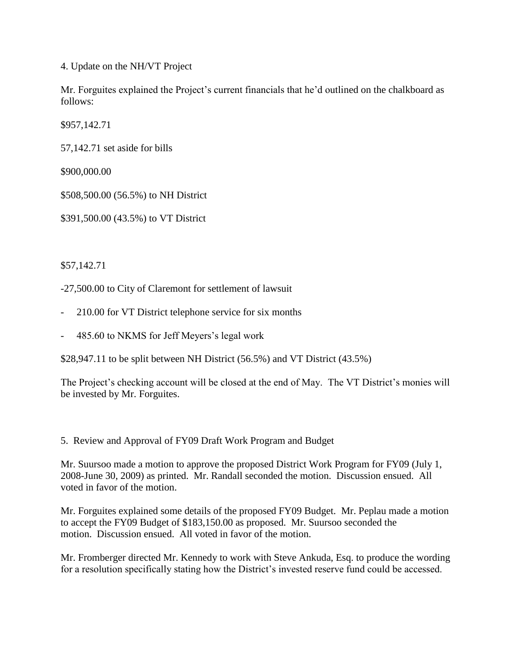4. Update on the NH/VT Project

Mr. Forguites explained the Project's current financials that he'd outlined on the chalkboard as follows:

\$957,142.71

57,142.71 set aside for bills

\$900,000.00

\$508,500.00 (56.5%) to NH District

\$391,500.00 (43.5%) to VT District

\$57,142.71

-27,500.00 to City of Claremont for settlement of lawsuit

- 210.00 for VT District telephone service for six months
- 485.60 to NKMS for Jeff Meyers's legal work

\$28,947.11 to be split between NH District (56.5%) and VT District (43.5%)

The Project's checking account will be closed at the end of May. The VT District's monies will be invested by Mr. Forguites.

5. Review and Approval of FY09 Draft Work Program and Budget

Mr. Suursoo made a motion to approve the proposed District Work Program for FY09 (July 1, 2008-June 30, 2009) as printed. Mr. Randall seconded the motion. Discussion ensued. All voted in favor of the motion.

Mr. Forguites explained some details of the proposed FY09 Budget. Mr. Peplau made a motion to accept the FY09 Budget of \$183,150.00 as proposed. Mr. Suursoo seconded the motion. Discussion ensued. All voted in favor of the motion.

Mr. Fromberger directed Mr. Kennedy to work with Steve Ankuda, Esq. to produce the wording for a resolution specifically stating how the District's invested reserve fund could be accessed.